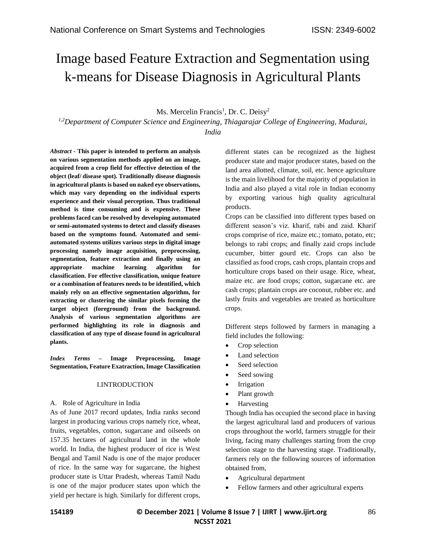# Image based Feature Extraction and Segmentation using k-means for Disease Diagnosis in Agricultural Plants

## Ms. Mercelin Francis<sup>1</sup>, Dr. C. Deisy<sup>2</sup>

*1,2Department of Computer Science and Engineering, Thiagarajar College of Engineering, Madurai, India*

*Abstract -* **This paper is intended to perform an analysis on various segmentation methods applied on an image, acquired from a crop field for effective detection of the object (leaf/ disease spot). Traditionally disease diagnosis in agricultural plants is based on naked eye observations, which may vary depending on the individual experts experience and their visual perception. Thus traditional method is time consuming and is expensive. These problems faced can be resolved by developing automated or semi-automated systems to detect and classify diseases based on the symptoms found. Automated and semiautomated systems utilizes various steps in digital image processing namely image acquisition, preprocessing, segmentation, feature extraction and finally using an appropriate machine learning algorithm for classification. For effective classification, unique feature or a combination of features needs to be identified, which mainly rely on an effective segmentation algorithm, for extracting or clustering the similar pixels forming the target object (foreground) from the background. Analysis of various segmentation algorithms are performed highlighting its role in diagnosis and classification of any type of disease found in agricultural plants.** 

*Index Terms –* **Image Preprocessing, Image Segmentation, Feature Exatraction, Image Classification**

#### I.INTRODUCTION

#### A. Role of Agriculture in India

As of June 2017 record updates, India ranks second largest in producing various crops namely rice, wheat, fruits, vegetables, cotton, sugarcane and oilseeds on 157.35 hectares of agricultural land in the whole world. In India, the highest producer of rice is West Bengal and Tamil Nadu is one of the major producer of rice. In the same way for sugarcane, the highest producer state is Uttar Pradesh, whereas Tamil Nadu is one of the major producer states upon which the yield per hectare is high. Similarly for different crops, different states can be recognized as the highest producer state and major producer states, based on the land area allotted, climate, soil, etc. hence agriculture is the main livelihood for the majority of population in India and also played a vital role in Indian economy by exporting various high quality agricultural products.

Crops can be classified into different types based on different season's viz. kharif, rabi and zaid. Kharif crops comprise of rice, maize etc.; tomato, potato, etc; belongs to rabi crops; and finally zaid crops include cucumber, bitter gourd etc. Crops can also be classified as food crops, cash crops, plantain crops and horticulture crops based on their usage. Rice, wheat, maize etc. are food crops; cotton, sugarcane etc. are cash crops; plantain crops are coconut, rubber etc. and lastly fruits and vegetables are treated as horticulture crops.

Different steps followed by farmers in managing a field includes the following:

- Crop selection
- Land selection
- Seed selection
- Seed sowing
- Irrigation
- Plant growth
- **Harvesting**

Though India has occupied the second place in having the largest agricultural land and producers of various crops throughout the world, farmers struggle for their living, facing many challenges starting from the crop selection stage to the harvesting stage. Traditionally, farmers rely on the following sources of information obtained from,

- Agricultural department
- Fellow farmers and other agricultural experts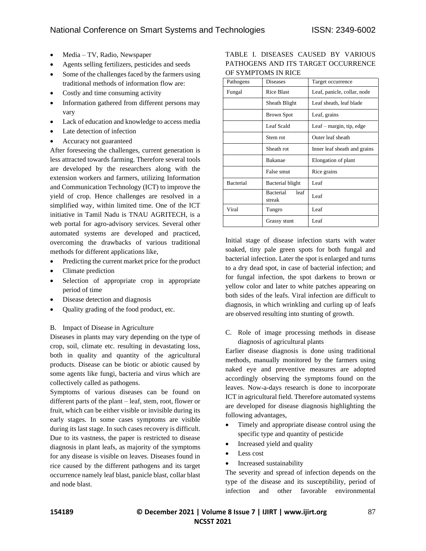- Media TV, Radio, Newspaper
- Agents selling fertilizers, pesticides and seeds
- Some of the challenges faced by the farmers using traditional methods of information flow are:
- Costly and time consuming activity
- Information gathered from different persons may vary
- Lack of education and knowledge to access media
- Late detection of infection
- Accuracy not guaranteed

After foreseeing the challenges, current generation is less attracted towards farming. Therefore several tools are developed by the researchers along with the extension workers and farmers, utilizing Information and Communication Technology (ICT) to improve the yield of crop. Hence challenges are resolved in a simplified way, within limited time. One of the ICT initiative in Tamil Nadu is TNAU AGRITECH, is a web portal for agro-advisory services. Several other automated systems are developed and practiced, overcoming the drawbacks of various traditional methods for different applications like,

- Predicting the current market price for the product
- Climate prediction
- Selection of appropriate crop in appropriate period of time
- Disease detection and diagnosis
- Quality grading of the food product, etc.

#### B. Impact of Disease in Agriculture

Diseases in plants may vary depending on the type of crop, soil, climate etc. resulting in devastating loss, both in quality and quantity of the agricultural products. Disease can be biotic or abiotic caused by some agents like fungi, bacteria and virus which are collectively called as pathogens.

Symptoms of various diseases can be found on different parts of the plant – leaf, stem, root, flower or fruit, which can be either visible or invisible during its early stages. In some cases symptoms are visible during its last stage. In such cases recovery is difficult. Due to its vastness, the paper is restricted to disease diagnosis in plant leafs, as majority of the symptoms for any disease is visible on leaves. Diseases found in rice caused by the different pathogens and its target occurrence namely leaf blast, panicle blast, collar blast and node blast.

TABLE I. DISEASES CAUSED BY VARIOUS PATHOGENS AND ITS TARGET OCCURRENCE OF SYMPTOMS IN RICE

| Pathogens | <b>Diseases</b>             | Target occurrence            |  |  |
|-----------|-----------------------------|------------------------------|--|--|
| Fungal    | <b>Rice Blast</b>           | Leaf, panicle, collar, node  |  |  |
|           | Sheath Blight               | Leaf sheath, leaf blade      |  |  |
|           | <b>Brown Spot</b>           | Leaf, grains                 |  |  |
|           | Leaf Scald                  | Leaf $-$ margin, tip, edge   |  |  |
|           | Stem rot                    | Outer leaf sheath            |  |  |
|           | Sheath rot                  | Inner leaf sheath and grains |  |  |
|           | <b>Bakanae</b>              | Elongation of plant          |  |  |
|           | False smut                  | Rice grains                  |  |  |
| Bacterial | Bacterial blight            | Leaf                         |  |  |
|           | Bacterial<br>leaf<br>streak | Leaf                         |  |  |
| Viral     | Tungro                      | Leaf                         |  |  |
|           | Grassy stunt                | Leaf                         |  |  |

Initial stage of disease infection starts with water soaked, tiny pale green spots for both fungal and bacterial infection. Later the spot is enlarged and turns to a dry dead spot, in case of bacterial infection; and for fungal infection, the spot darkens to brown or yellow color and later to white patches appearing on both sides of the leafs. Viral infection are difficult to diagnosis, in which wrinkling and curling up of leafs are observed resulting into stunting of growth.

C. Role of image processing methods in disease diagnosis of agricultural plants

Earlier disease diagnosis is done using traditional methods, manually monitored by the farmers using naked eye and preventive measures are adopted accordingly observing the symptoms found on the leaves. Now-a-days research is done to incorporate ICT in agricultural field. Therefore automated systems are developed for disease diagnosis highlighting the following advantages,

- Timely and appropriate disease control using the specific type and quantity of pesticide
- Increased yield and quality
- Less cost
- Increased sustainability

The severity and spread of infection depends on the type of the disease and its susceptibility, period of infection and other favorable environmental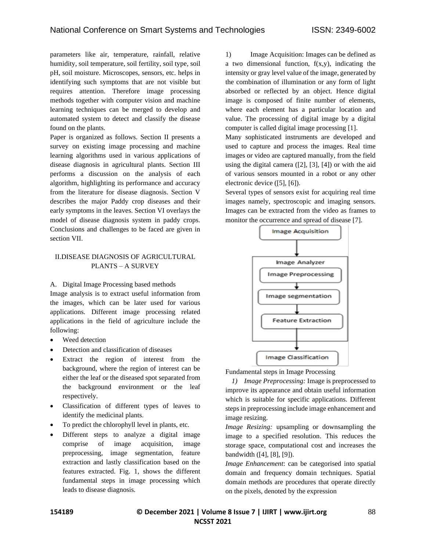parameters like air, temperature, rainfall, relative humidity, soil temperature, soil fertility, soil type, soil pH, soil moisture. Microscopes, sensors, etc. helps in identifying such symptoms that are not visible but requires attention. Therefore image processing methods together with computer vision and machine learning techniques can be merged to develop and automated system to detect and classify the disease found on the plants.

Paper is organized as follows. Section II presents a survey on existing image processing and machine learning algorithms used in various applications of disease diagnosis in agricultural plants. Section III performs a discussion on the analysis of each algorithm, highlighting its performance and accuracy from the literature for disease diagnosis. Section V describes the major Paddy crop diseases and their early symptoms in the leaves. Section VI overlays the model of disease diagnosis system in paddy crops. Conclusions and challenges to be faced are given in section VII.

## II.DISEASE DIAGNOSIS OF AGRICULTURAL PLANTS – A SURVEY

A. Digital Image Processing based methods

Image analysis is to extract useful information from the images, which can be later used for various applications. Different image processing related applications in the field of agriculture include the following:

- Weed detection
- Detection and classification of diseases
- Extract the region of interest from the background, where the region of interest can be either the leaf or the diseased spot separated from the background environment or the leaf respectively.
- Classification of different types of leaves to identify the medicinal plants.
- To predict the chlorophyll level in plants, etc.
- Different steps to analyze a digital image comprise of image acquisition, image preprocessing, image segmentation, feature extraction and lastly classification based on the features extracted. Fig. 1, shows the different fundamental steps in image processing which leads to disease diagnosis.

1) Image Acquisition: Images can be defined as a two dimensional function,  $f(x,y)$ , indicating the intensity or gray level value of the image, generated by the combination of illumination or any form of light absorbed or reflected by an object. Hence digital image is composed of finite number of elements, where each element has a particular location and value. The processing of digital image by a digital computer is called digital image processing [1].

Many sophisticated instruments are developed and used to capture and process the images. Real time images or video are captured manually, from the field using the digital camera  $([2], [3], [4])$  or with the aid of various sensors mounted in a robot or any other electronic device ([5], [6]).

Several types of sensors exist for acquiring real time images namely, spectroscopic and imaging sensors. Images can be extracted from the video as frames to monitor the occurrence and spread of disease [7].



Fundamental steps in Image Processing

*1) Image Preprocessing:* Image is preprocessed to improve its appearance and obtain useful information which is suitable for specific applications. Different steps in preprocessing include image enhancement and image resizing.

*Image Resizing:* upsampling or downsampling the image to a specified resolution. This reduces the storage space, computational cost and increases the bandwidth ([4], [8], [9]).

*Image Enhancement*: can be categorised into spatial domain and frequency domain techniques. Spatial domain methods are procedures that operate directly on the pixels, denoted by the expression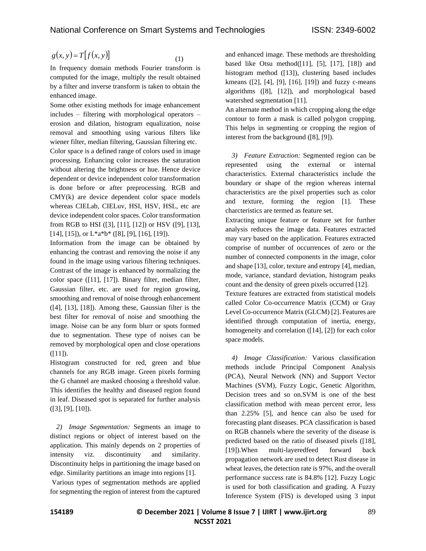(1)

$$
g(x, y) = T[f(x, y)]
$$

In frequency domain methods Fourier transform is computed for the image, multiply the result obtained by a filter and inverse transform is taken to obtain the enhanced image.

 $g(x, y) = T[f(x, y)]$  (1)<br>
the requency domain methods Fourier transform is<br>
no requence of ordinal methods Fourier transform is<br>
nonoputed for the image, multiply the result obtain the<br>
monoputed for the image, multiply the res Some other existing methods for image enhancement includes – filtering with morphological operators – erosion and dilation, histogram equalization, noise removal and smoothing using various filters like wiener filter, median filtering, Gaussian filtering etc. Color space is a defined range of colors used in image processing. Enhancing color increases the saturation without altering the brightness or hue. Hence device dependent or device independent color transformation is done before or after preprocessing. RGB and CMY(k) are device dependent color space models whereas CIELab, CIELuv, HSI, HSV, HSL, etc are device independent color spaces. Color transformation from RGB to HSI ([3], [11], [12]) or HSV ([9], [13],  $[14]$ ,  $[15]$ ), or  $L^*a^*b^*$  ([8], [9], [16], [19]).

Information from the image can be obtained by enhancing the contrast and removing the noise if any found in the image using various filtering techniques. Contrast of the image is enhanced by normalizing the color space ([11], [17]). Binary filter, median filter, Gaussian filter, etc. are used for region growing, smoothing and removal of noise through enhancement  $([4], [13], [18])$ . Among these, Gaussian filter is the best filter for removal of noise and smoothing the image. Noise can be any form blurr or spots formed due to segmentation. These type of noises can be removed by morphological open and close operations  $([11])$ .

Histogram constructed for red, green and blue channels for any RGB image. Green pixels forming the G channel are masked choosing a threshold value. This identifies the healthy and diseased region found in leaf. Diseased spot is separated for further analysis ([3], [9], [10]).

*2) Image Segmentation:* Segments an image to distinct regions or object of interest based on the application. This mainly depends on 2 properties of intensity viz. discontinuity and similarity. Discontinuity helps in partitioning the image based on edge. Similarity partitions an image into regions [1]. Various types of segmentation methods are applied for segmenting the region of interest from the captured and enhanced image. These methods are thresholding based like Otsu method $([11]$ ,  $[5]$ ,  $[17]$ ,  $[18]$ ) and histogram method ([13]), clustering based includes kmeans ([2], [4], [9], [16], [19]) and fuzzy c-means algorithms ([8], [12]), and morphological based watershed segmentation [11].

An alternate method in which cropping along the edge contour to form a mask is called polygon cropping. This helps in segmenting or cropping the region of interest from the background ([8], [9]).

*3) Feature Extraction:* Segmented region can be represented using the external or internal characteristics. External characteristics include the boundary or shape of the region whereas internal characteristics are the pixel properties such as color and texture, forming the region [1]. These charcteristics are termed as feature set.

Extracting unique feature or feature set for further analysis reduces the image data. Features extracted may vary based on the application. Features extracted comprise of number of occurrences of zero or the number of connected components in the image, color and shape [13], color, texture and entropy [4], median, mode, variance, standard deviation, histogram peaks count and the density of green pixels occurred [12].

Texture features are extracted from statistical models called Color Co-occurrence Matrix (CCM) or Gray Level Co-occurrence Matrix (GLCM) [2]. Features are identified through computation of inertia, energy, homogeneity and correlation ([14], [2]) for each color space models.

*4) Image Classification:* Various classification methods include Principal Component Analysis (PCA), Neural Network (NN) and Support Vector Machines (SVM), Fuzzy Logic, Genetic Algorithm, Decision trees and so on.SVM is one of the best classification method with mean percent error, less than 2.25% [5], and hence can also be used for forecasting plant diseases. PCA classification is based on RGB channels where the severity of the disease is predicted based on the ratio of diseased pixels ([18], [19]). When multi-layeredfeed forward back propagation network are used to detect Rust disease in wheat leaves, the detection rate is 97%, and the overall performance success rate is 84.8% [12]. Fuzzy Logic is used for both classification and grading. A Fuzzy Inference System (FIS) is developed using 3 input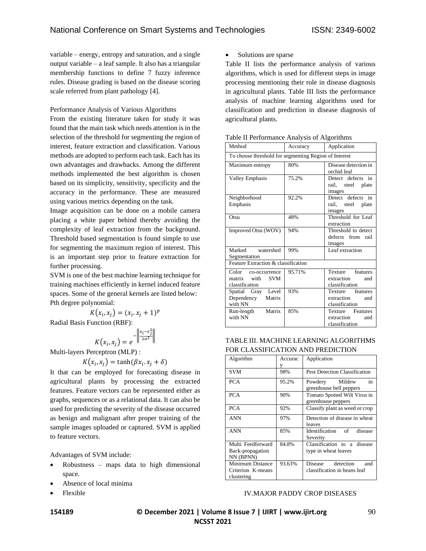variable – energy, entropy and saturation, and a single output variable – a leaf sample. It also has a triangular membership functions to define 7 fuzzy inference rules. Disease grading is based on the disease scoring scale referred from plant pathology [4].

Performance Analysis of Various Algorithms

From the existing literature taken for study it was found that the main task which needs attention is in the selection of the threshold for segmenting the region of interest, feature extraction and classification. Various methods are adopted to perform each task. Each has its own advantages and drawbacks. Among the different methods implemented the best algorithm is chosen based on its simplicity, sensitivity, specificity and the accuracy in the performance. These are measured using various metrics depending on the task.

Image acquisition can be done on a mobile camera placing a white paper behind thereby avoiding the complexity of leaf extraction from the background. Threshold based segmentation is found simple to use for segmenting the maximum region of interest. This is an important step prior to feature extraction for further processing.

SVM is one of the best machine learning technique for training machines efficiently in kernel induced feature spaces. Some of the general kernels are listed below: Pth degree polynomial:

$$
K(x_i, x_j) = (x_i, x_j + 1)^p
$$
  
Function (PDE).

Radial Basis Function (RBF):

$$
K(x_i, x_j) = e^{-\left\|\frac{x_i - x_j^2}{2\sigma^2}\right\|}
$$

Multi-layers Perceptron (MLP) :

$$
K(x_i, x_j) = \tanh(\beta x_i, x_j + \delta)
$$

It that can be employed for forecasting disease in agricultural plants by processing the extracted features. Feature vectors can be represented either as graphs, sequences or as a relational data. It can also be used for predicting the severity of the disease occurred as benign and malignant after proper training of the sample images uploaded or captured. SVM is applied to feature vectors.

Advantages of SVM include:

- $Robustness$  maps data to high dimensional space.
- Absence of local minima
- Flexible

• Solutions are sparse

Table II lists the performance analysis of various algorithms, which is used for different steps in image processing mentioning their role in disease diagnosis in agricultural plants. Table III lists the performance analysis of machine learning algorithms used for classification and prediction in disease diagnosis of agricultural plants.

|  | Table II Performance Analysis of Algorithms |  |
|--|---------------------------------------------|--|
|  |                                             |  |

| Method                                                             | Accuracy | Application                                             |  |  |
|--------------------------------------------------------------------|----------|---------------------------------------------------------|--|--|
| To choose threshold for segmenting Region of Interest              |          |                                                         |  |  |
| Maximum entropy                                                    | 80%      | Disease detection in<br>orchid leaf                     |  |  |
| <b>Valley Emphasis</b>                                             | 75.2%    | Detect defects in<br>rail, steel plate<br>images        |  |  |
| Neighborhood<br>Emphasis                                           | 92.2%    | Detect defects in<br>rail, steel plate<br>images        |  |  |
| Otsu                                                               | 48%      | Threshold for Leaf<br>extraction                        |  |  |
| Improved Otsu (WOV)                                                | 94%      | Threshold to detect<br>defects from rail<br>images      |  |  |
| Marked watershed<br>Segmentation                                   | 99%      | Leaf extraction                                         |  |  |
| Feature Extraction & classification                                |          |                                                         |  |  |
| Color co-occurrence<br>matrix with<br><b>SVM</b><br>classification | 95.71%   | Texture features<br>extraction<br>and<br>classification |  |  |
| Spatial Gray Level<br>Dependency Matrix<br>with NN                 | 93%      | Texture features<br>extraction<br>and<br>classification |  |  |
| Matrix<br>Run-length<br>with NN                                    | 85%      | Texture Features<br>extraction<br>and<br>classification |  |  |

#### TABLE III. MACHINE LEARNING ALGORITHMS FOR CLASSIFICATION AND PREDICTION

| Algorithm         | Accurac | Application                                        |  |  |  |
|-------------------|---------|----------------------------------------------------|--|--|--|
|                   |         |                                                    |  |  |  |
| <b>SVM</b>        | 98%     | Pest Detection Classification                      |  |  |  |
| <b>PCA</b>        | 95.2%   | Powdery Mildew<br>in<br>greenhouse bell peppers    |  |  |  |
| <b>PCA</b>        | 90%     | Tomato Spotted Wilt Virus in<br>greenhouse peppers |  |  |  |
| <b>PCA</b>        | 92%     | Classify plant as weed or crop                     |  |  |  |
| <b>ANN</b>        | 97%     | Detection of disease in wheat<br>leaves            |  |  |  |
| <b>ANN</b>        | 85%     | Identification of<br>disease<br>Severity           |  |  |  |
| Multi Feedforward | 84.8%   | Classification to a disease                        |  |  |  |
| Back-propagation  |         | type in wheat leaves                               |  |  |  |
| NN (BPNN)         |         |                                                    |  |  |  |
| Minimum Distance  | 93.63%  | detection<br>Disease<br>and                        |  |  |  |
| Criterion K-means |         | classification in beans leaf                       |  |  |  |
| clustering        |         |                                                    |  |  |  |

### IV.MAJOR PADDY CROP DISEASES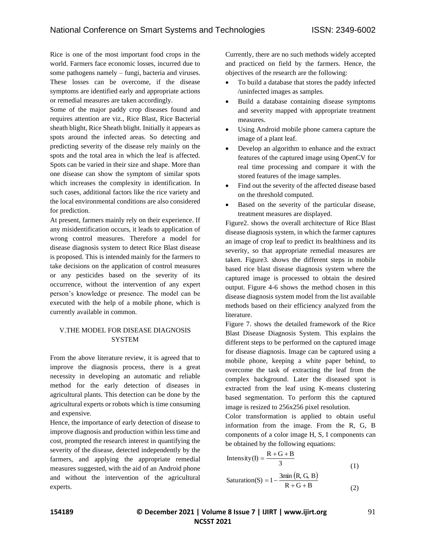Rice is one of the most important food crops in the world. Farmers face economic losses, incurred due to some pathogens namely – fungi, bacteria and viruses. These losses can be overcome, if the disease symptoms are identified early and appropriate actions or remedial measures are taken accordingly.

Some of the major paddy crop diseases found and requires attention are viz., Rice Blast, Rice Bacterial sheath blight, Rice Sheath blight. Initially it appears as spots around the infected areas. So detecting and predicting severity of the disease rely mainly on the spots and the total area in which the leaf is affected. Spots can be varied in their size and shape. More than one disease can show the symptom of similar spots which increases the complexity in identification. In such cases, additional factors like the rice variety and the local environmental conditions are also considered for prediction.

At present, farmers mainly rely on their experience. If any misidentification occurs, it leads to application of wrong control measures. Therefore a model for disease diagnosis system to detect Rice Blast disease is proposed. This is intended mainly for the farmers to take decisions on the application of control measures or any pesticides based on the severity of its occurrence, without the intervention of any expert person's knowledge or presence. The model can be executed with the help of a mobile phone, which is currently available in common.

#### V.THE MODEL FOR DISEASE DIAGNOSIS **SYSTEM**

From the above literature review, it is agreed that to improve the diagnosis process, there is a great necessity in developing an automatic and reliable method for the early detection of diseases in agricultural plants. This detection can be done by the agricultural experts or robots which is time consuming and expensive.

Hence, the importance of early detection of disease to improve diagnosis and production within less time and cost, prompted the research interest in quantifying the severity of the disease, detected independently by the farmers, and applying the appropriate remedial measures suggested, with the aid of an Android phone and without the intervention of the agricultural experts.

Currently, there are no such methods widely accepted and practiced on field by the farmers. Hence, the objectives of the research are the following:

- To build a database that stores the paddy infected /uninfected images as samples.
- Build a database containing disease symptoms and severity mapped with appropriate treatment measures.
- Using Android mobile phone camera capture the image of a plant leaf.
- Develop an algorithm to enhance and the extract features of the captured image using OpenCV for real time processing and compare it with the stored features of the image samples.
- Find out the severity of the affected disease based on the threshold computed.
- Based on the severity of the particular disease, treatment measures are displayed.

Figure2. shows the overall architecture of Rice Blast disease diagnosis system, in which the farmer captures an image of crop leaf to predict its healthiness and its severity, so that appropriate remedial measures are taken. Figure3. shows the different steps in mobile based rice blast disease diagnosis system where the captured image is processed to obtain the desired output. Figure 4-6 shows the method chosen in this disease diagnosis system model from the list available methods based on their efficiency analyzed from the literature.

Figure 7. shows the detailed framework of the Rice Blast Disease Diagnosis System. This explains the different steps to be performed on the captured image for disease diagnosis. Image can be captured using a mobile phone, keeping a white paper behind, to overcome the task of extracting the leaf from the complex background. Later the diseased spot is extracted from the leaf using K-means clustering based segmentation. To perform this the captured image is resized to 256x256 pixel resolution.

Color transformation is applied to obtain useful information from the image. From the R, G, B components of a color image H, S, I components can be obtained by the following equations:

$$
\begin{aligned} \text{Intensity (I)} &= \frac{\mathbf{R} + \mathbf{G} + \mathbf{B}}{3} \end{aligned} \tag{1}
$$
\n
$$
\text{Saturation(S)} = 1 - \frac{3\text{min (R, G, B)}}{\mathbf{R} + \mathbf{G} + \mathbf{B}} \tag{2}
$$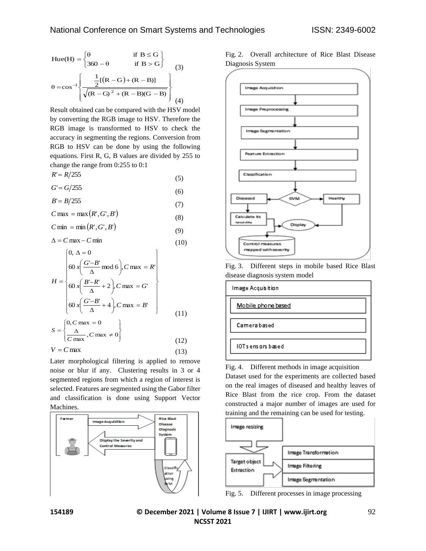Hue(H) = 
$$
\begin{cases} θ & \text{if } B \le G \\ 360 - θ & \text{if } B > G \end{cases}
$$

$$
θ = cos^{-1} \left\{ \frac{\frac{1}{2}[(R - G) + (R - B)]}{\sqrt{(R - G)^2 + (R - B)(G - B)}} \right\}
$$
(4)

Result obtained can be compared with the HSV model by converting the RGB image to HSV. Therefore the RGB image is transformed to HSV to check the accuracy in segmenting the regions. Conversion from RGB to HSV can be done by using the following equations. First R, G, B values are divided by 255 to change the range from 0:255 to 0:1

$$
R'=R/255\tag{5}
$$

$$
G = G/255\tag{6}
$$

*B*'

 $B/255$ 

$$
B = B/233\tag{7}
$$

$$
C \max = \max(R', G', B')
$$
 (8)

$$
C \min = \min(R', G', B') \tag{9}
$$

$$
\Delta = C \max - C \min \tag{10}
$$

$$
H = \begin{bmatrix} 0, \Delta = 0 \\ 60 x \left( \frac{G-B'}{\Delta} \mod 6 \right), C \max = R' \\ 60 x \left( \frac{B'-R'}{\Delta} + 2 \right), C \max = G' \\ 60 x \left( \frac{G'-B'}{\Delta} + 4 \right), C \max = B' \\ 0, C \max = 0 \end{bmatrix}
$$
(11)

$$
S = \left\{ \frac{\Delta}{C \max}, C \max \neq 0 \right\}
$$
\n
$$
V = C \max \left\{ \frac{1}{C} \right\} \tag{12}
$$

$$
V = C \max \tag{13}
$$

Later morphological filtering is applied to remove noise or blur if any. Clustering results in 3 or 4 segmented regions from which a region of interest is selected. Features are segmented using the Gabor filter and classification is done using Support Vector Machines.



Fig. 2. Overall architecture of Rice Blast Disease Diagnosis System



Fig. 3. Different steps in mobile based Rice Blast disease diagnosis system model



Fig. 4. Different methods in image acquisition Dataset used for the experiments are collected based on the real images of diseased and healthy leaves of Rice Blast from the rice crop. From the dataset constructed a major number of images are used for training and the remaining can be used for testing.



Fig. 5. Different processes in image processing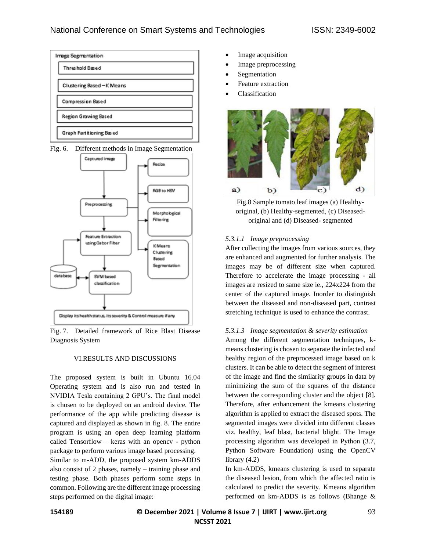





Fig. 7. Detailed framework of Rice Blast Disease Diagnosis System

#### VI.RESULTS AND DISCUSSIONS

The proposed system is built in Ubuntu 16.04 Operating system and is also run and tested in NVIDIA Tesla containing 2 GPU's. The final model is chosen to be deployed on an android device. The performance of the app while predicting disease is captured and displayed as shown in fig. 8. The entire program is using an open deep learning platform called Tensorflow – keras with an opencv - python package to perform various image based processing.

Similar to m-ADD, the proposed system km-ADDS also consist of 2 phases, namely – training phase and testing phase. Both phases perform some steps in common. Following are the different image processing steps performed on the digital image:

- Image acquisition
- Image preprocessing
- **Segmentation**
- Feature extraction
- Classification



Fig.8 Sample tomato leaf images (a) Healthyoriginal, (b) Healthy-segmented, (c) Diseasedoriginal and (d) Diseased- segmented

#### *5.3.1.1 Image preprocessing*

After collecting the images from various sources, they are enhanced and augmented for further analysis. The images may be of different size when captured. Therefore to accelerate the image processing - all images are resized to same size ie., 224x224 from the center of the captured image. Inorder to distinguish between the diseased and non-diseased part, contrast stretching technique is used to enhance the contrast.

#### *5.3.1.3 Image segmentation & severity estimation*

Among the different segmentation techniques, kmeans clustering is chosen to separate the infected and healthy region of the preprocessed image based on k clusters. It can be able to detect the segment of interest of the image and find the similarity groups in data by minimizing the sum of the squares of the distance between the corresponding cluster and the object [8]. Therefore, after enhancement the kmeans clustering algorithm is applied to extract the diseased spots. The segmented images were divided into different classes viz. healthy, leaf blast, bacterial blight. The Image processing algorithm was developed in Python (3.7, Python Software Foundation) using the OpenCV library (4.2)

In km-ADDS, kmeans clustering is used to separate the diseased lesion, from which the affected ratio is calculated to predict the severity. Kmeans algorithm performed on km-ADDS is as follows (Bhange &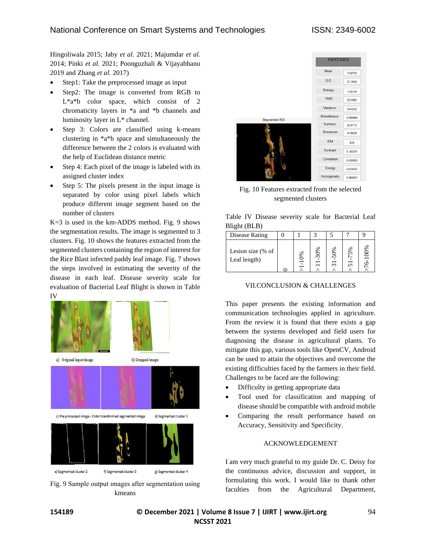Hingoliwala 2015; Jaby *et al.* 2021; Majumdar *et al.* 2014; Pinki *et al.* 2021; Poonguzhali & Vijayabhanu 2019 and Zhang *et al.* 2017)

- Step1: Take the preprocessed image as input
- Step2: The image is converted from RGB to L<sup>\*a\*b</sup> color space, which consist of 2 chromaticity layers in \*a and \*b channels and luminosity layer in L\* channel.
- Step 3: Colors are classified using k-means clustering in \*a\*b space and simultaneously the difference between the 2 colors is evaluated with the help of Euclidean distance metric
- Step 4: Each pixel of the image is labeled with its assigned cluster index
- Step 5: The pixels present in the input image is separated by color using pixel labels which produce different image segment based on the number of clusters

K=3 is used in the km-ADDS method. Fig. 9 shows the segmentation results. The image is segmented to 3 clusters. Fig. 10 shows the features extracted from the segmented clusters containing the region of interest for the Rice Blast infected paddy leaf image. Fig. 7 shows the steps involved in estimating the severity of the disease in each leaf. Disease severity scale for evaluation of Bacterial Leaf Blight is shown in Table IV



Fig. 9 Sample output ımages after segmentation using kmeans



Fig. 10 Features extracted from the selected segmented clusters

Table IV Disease severity scale for Bacterial Leaf Blight (BLB)

| Disease Rating                    |    |         |                      |         |                     |
|-----------------------------------|----|---------|----------------------|---------|---------------------|
| Lesion size (% of<br>Leaf length) | 6% | 0%<br>س | 0%<br>$\overline{5}$ | 5%<br>ທ | $\frac{8}{6}$<br>20 |

## VII.CONCLUSION & CHALLENGES

This paper presents the existing information and communication technologies applied in agriculture. From the review it is found that there exists a gap between the systems developed and field users for diagnosing the disease in agricultural plants. To mitigate this gap, various tools like OpenCV, Android can be used to attain the objectives and overcome the existing difficulties faced by the farmers in their field. Challenges to be faced are the following:

- Difficulty in getting appropriate data
- Tool used for classification and mapping of disease should be compatible with android mobile
- Comparing the result performance based on Accuracy, Sensitivity and Specificity.

#### ACKNOWLEDGEMENT

I am very much grateful to my guide Dr. C. Deisy for the continuous advice, discussion and support, in formulating this work. I would like to thank other faculties from the Agricultural Department,